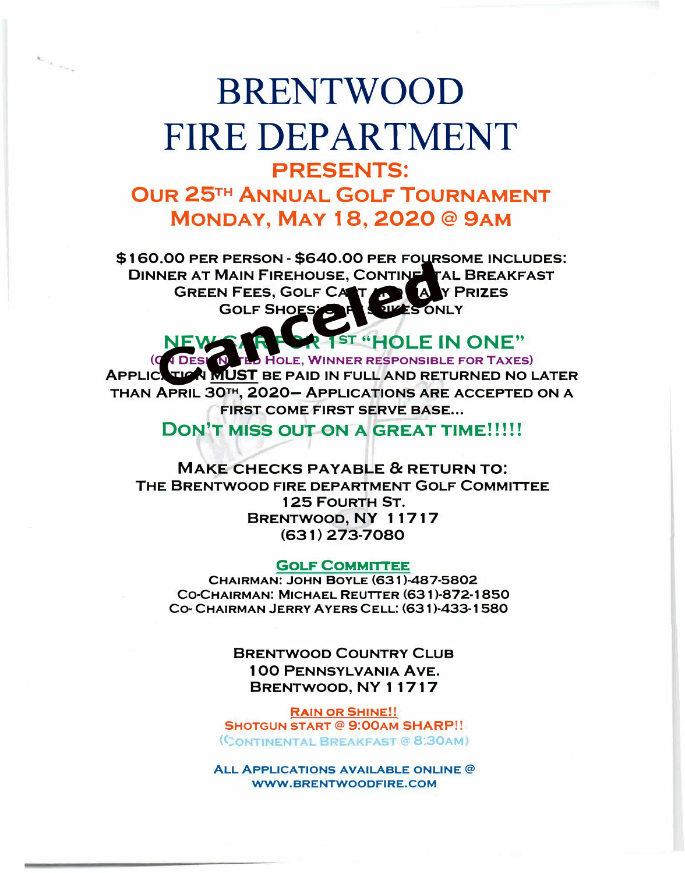## **BRENTWOOD** FIRE DEPARTMENT PRESENTS: **OUR 25TH ANNUAL GOLF TOURNAMENT MONDAY, MAY 18, 2020@9AM**

 $\sim$   $\sim$   $\sim$   $\sim$ 

**\$160.00 PER PERSON· \$640.00 PER FOURSOME INCLUDES: DINNER AT MAIN FIREHOUSE, CONTINENTAL BREAKFAST GREEN FEES, GOLF CART AND MANY PRIZES GOLF SHOES: SPI** INER AT MAIN FIREHOUSE, CONTINENT GREEN FEES, GOLF CANT COLLED AND COLLECTED AND RETAINING MANUST BE PAID IN FULL AND RET

**1ST "HOLE IN ONE" HOLE, WINNER RESPONSIBLE FOR TAXES** 

**APPLICATION** MUST **BE PAID IN FULL AND RETURNED NO LATER THAN APRIL 30TH, 2020- APPLICATIONS ARE ACCEPTED ON A FIRST COME FIRST SERVE BASE...** 

**DON'T MISS OUT ON A GREAT TIME!!!!!** 

**MAKE CHECKS PAYABLE & RETURN TO: THE BRENTWOOD FIRE DEPARTMENT GOLF COMMITTEE**  1 25 **FOURTH ST. BRENTWOOD, NY 1 1717 (631) 273-7080**

**GOLF COMMITTEE** 

**CHAIRMAN: JOHN BOYLE (631 )-487-5802 co-CHAIRMAN: MICHAEL REUTTER (631 )-872-1850 CO· CHAIRMAN JERRY AYERS CELL: (631 )·433-1580** 

> **BRENTWOOD COUNTRY CLUB 1 00 PENNSYLVANIA AVE. BRENTWOOD,** NY 11717

**RAIN OR SHINE!! SHOTGUN START @ 9:00AM SHARP!! (CONTINENTAL BREAKFAST @ 8:30AM)** 

**ALL APPLICATIONS AVAILABLE ONLINE @ WWW .BRENTWOODFIRE.COM**